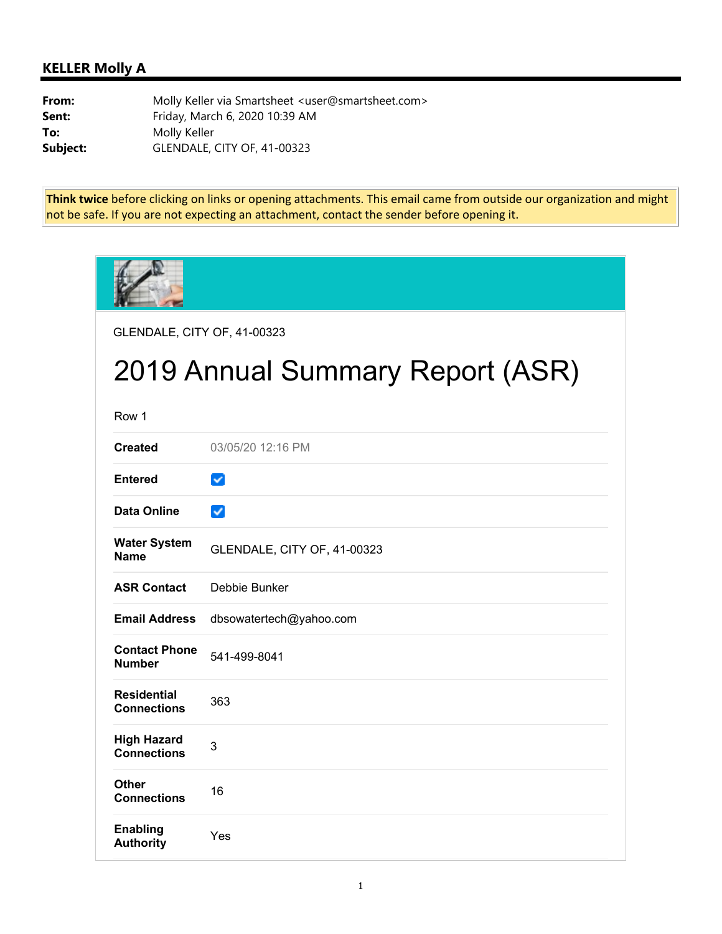## **KELLER Molly A**

**From:** Molly Keller via Smartsheet <user@smartsheet.com> **Sent:** Friday, March 6, 2020 10:39 AM **To:** Molly Keller **Subject:** GLENDALE, CITY OF, 41-00323

**Think twice** before clicking on links or opening attachments. This email came from outside our organization and might not be safe. If you are not expecting an attachment, contact the sender before opening it.

| GLENDALE, CITY OF, 41-00323              |                                  |  |  |  |  |
|------------------------------------------|----------------------------------|--|--|--|--|
|                                          | 2019 Annual Summary Report (ASR) |  |  |  |  |
| Row 1                                    |                                  |  |  |  |  |
| <b>Created</b>                           | 03/05/20 12:16 PM                |  |  |  |  |
| <b>Entered</b>                           | $\checkmark$                     |  |  |  |  |
| <b>Data Online</b>                       | $\checkmark$                     |  |  |  |  |
| <b>Water System</b><br><b>Name</b>       | GLENDALE, CITY OF, 41-00323      |  |  |  |  |
| <b>ASR Contact</b>                       | Debbie Bunker                    |  |  |  |  |
| <b>Email Address</b>                     | dbsowatertech@yahoo.com          |  |  |  |  |
| <b>Contact Phone</b><br><b>Number</b>    | 541-499-8041                     |  |  |  |  |
| <b>Residential</b><br><b>Connections</b> | 363                              |  |  |  |  |
| <b>High Hazard</b><br><b>Connections</b> | 3                                |  |  |  |  |
| Other<br><b>Connections</b>              | 16                               |  |  |  |  |
| <b>Enabling</b><br><b>Authority</b>      | Yes                              |  |  |  |  |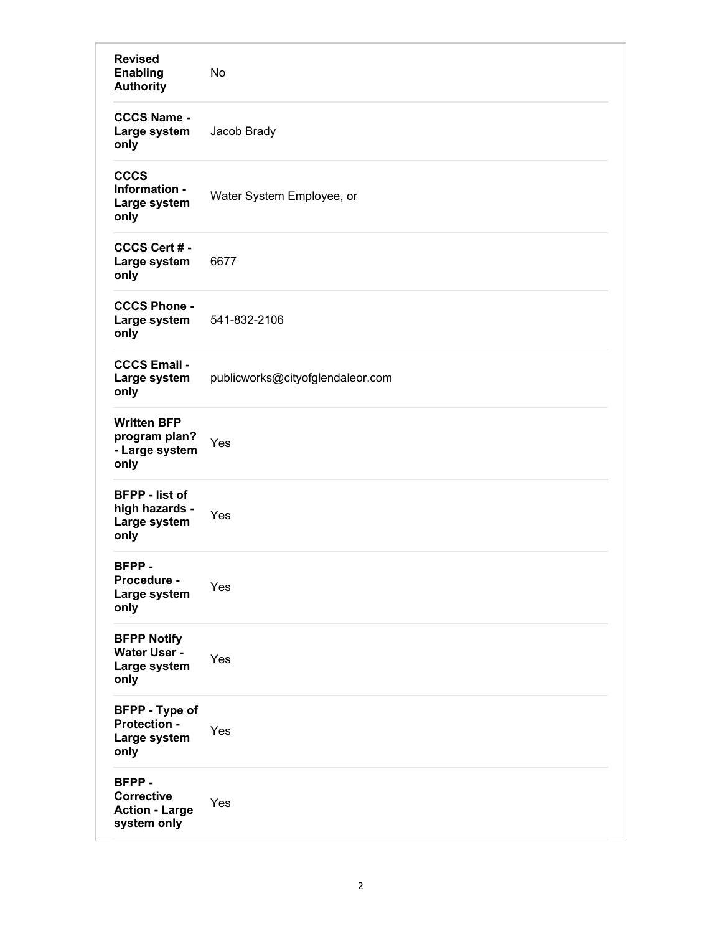| <b>Revised</b><br><b>Enabling</b><br><b>Authority</b>                | No                               |
|----------------------------------------------------------------------|----------------------------------|
| <b>CCCS Name -</b><br>Large system<br>only                           | Jacob Brady                      |
| <b>CCCS</b><br>Information -<br>Large system<br>only                 | Water System Employee, or        |
| CCCS Cert #-<br>Large system<br>only                                 | 6677                             |
| <b>CCCS Phone -</b><br>Large system<br>only                          | 541-832-2106                     |
| <b>CCCS Email -</b><br>Large system<br>only                          | publicworks@cityofglendaleor.com |
| <b>Written BFP</b><br>program plan?<br>- Large system<br>only        | Yes                              |
| <b>BFPP</b> - list of<br>high hazards -<br>Large system<br>only      | Yes                              |
| BFPP-<br>Procedure -<br>Large system<br>only                         | Yes                              |
| <b>BFPP Notify</b><br>Water User -<br>Large system<br>only           | Yes                              |
| <b>BFPP</b> - Type of<br><b>Protection -</b><br>Large system<br>only | Yes                              |
| BFPP-<br><b>Corrective</b><br><b>Action - Large</b><br>system only   | Yes                              |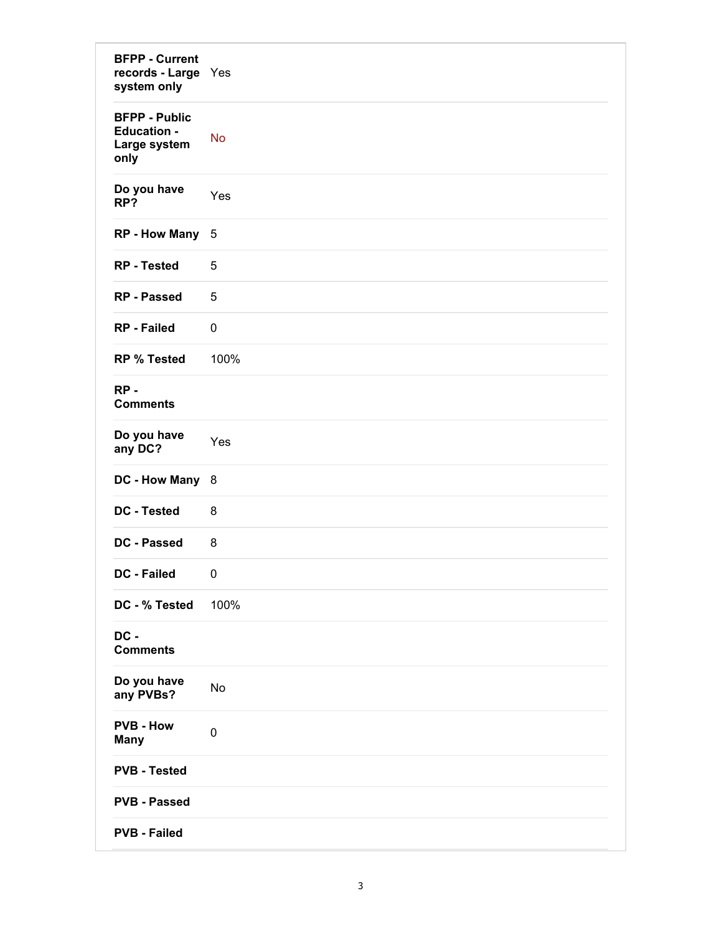| <b>BFPP - Current</b><br>records - Large Yes<br>system only        |             |
|--------------------------------------------------------------------|-------------|
| <b>BFPP - Public</b><br><b>Education -</b><br>Large system<br>only | <b>No</b>   |
| Do you have<br>RP?                                                 | Yes         |
| RP - How Many 5                                                    |             |
| <b>RP</b> - Tested                                                 | 5           |
| <b>RP - Passed</b>                                                 | 5           |
| <b>RP</b> - Failed                                                 | $\mathbf 0$ |
| <b>RP % Tested</b>                                                 | 100%        |
| $RP -$<br><b>Comments</b>                                          |             |
| Do you have<br>any DC?                                             | Yes         |
| DC - How Many 8                                                    |             |
| <b>DC</b> - Tested                                                 | 8           |
| DC - Passed                                                        | 8           |
| <b>DC - Failed</b>                                                 | 0           |
| DC - % Tested                                                      | 100%        |
| DC -<br><b>Comments</b>                                            |             |
| Do you have<br>any PVBs?                                           | No          |
| <b>PVB - How</b><br><b>Many</b>                                    | $\pmb{0}$   |
| <b>PVB - Tested</b>                                                |             |
| <b>PVB - Passed</b>                                                |             |
| <b>PVB - Failed</b>                                                |             |